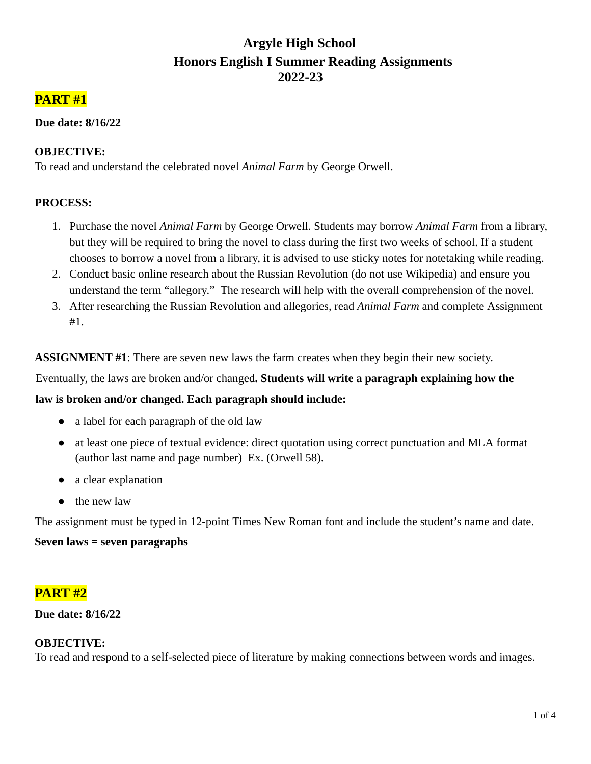# **Argyle High School Honors English I Summer Reading Assignments 2022-23**

## **PART #1**

#### **Due date: 8/16/22**

## **OBJECTIVE:**

To read and understand the celebrated novel *Animal Farm* by George Orwell.

## **PROCESS:**

- 1. Purchase the novel *Animal Farm* by George Orwell. Students may borrow *Animal Farm* from a library, but they will be required to bring the novel to class during the first two weeks of school. If a student chooses to borrow a novel from a library, it is advised to use sticky notes for notetaking while reading.
- 2. Conduct basic online research about the Russian Revolution (do not use Wikipedia) and ensure you understand the term "allegory." The research will help with the overall comprehension of the novel.
- 3. After researching the Russian Revolution and allegories, read *Animal Farm* and complete Assignment #1.

**ASSIGNMENT #1**: There are seven new laws the farm creates when they begin their new society.

Eventually, the laws are broken and/or changed**. Students will write a paragraph explaining how the**

#### **law is broken and/or changed. Each paragraph should include:**

- a label for each paragraph of the old law
- at least one piece of textual evidence: direct quotation using correct punctuation and MLA format (author last name and page number) Ex. (Orwell 58).
- a clear explanation
- the new law

The assignment must be typed in 12-point Times New Roman font and include the student's name and date.

## **Seven laws = seven paragraphs**

## **PART #2**

#### **Due date: 8/16/22**

#### **OBJECTIVE:**

To read and respond to a self-selected piece of literature by making connections between words and images.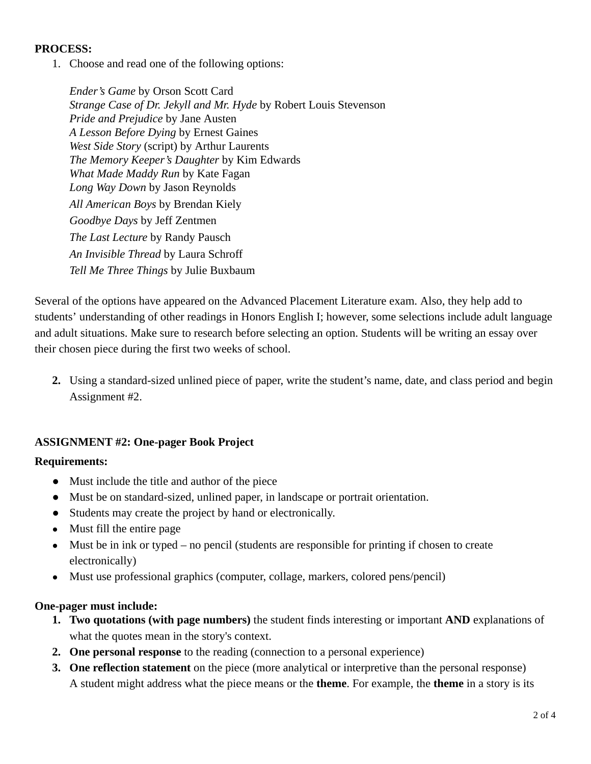#### **PROCESS:**

1. Choose and read one of the following options:

*Ender's Game* by Orson Scott Card *Strange Case of Dr. Jekyll and Mr. Hyde* by Robert Louis Stevenson *Pride and Prejudice* by Jane Austen *A Lesson Before Dying* by Ernest Gaines *West Side Story* (script) by Arthur Laurents *The Memory Keeper's Daughter* by Kim Edwards *What Made Maddy Run* by Kate Fagan *Long Way Down* by Jason Reynolds *All American Boys* by Brendan Kiely *Goodbye Days* by Jeff Zentmen *The Last Lecture* by Randy Pausch *An Invisible Thread* by Laura Schroff *Tell Me Three Things* by Julie Buxbaum

Several of the options have appeared on the Advanced Placement Literature exam. Also, they help add to students' understanding of other readings in Honors English I; however, some selections include adult language and adult situations. Make sure to research before selecting an option. Students will be writing an essay over their chosen piece during the first two weeks of school.

**2.** Using a standard-sized unlined piece of paper, write the student's name, date, and class period and begin Assignment #2.

#### **ASSIGNMENT #2: One-pager Book Project**

#### **Requirements:**

- Must include the title and author of the piece
- Must be on standard-sized, unlined paper, in landscape or portrait orientation.
- Students may create the project by hand or electronically.
- **●** Must fill the entire page
- **●** Must be in ink or typed no pencil (students are responsible for printing if chosen to create electronically)
- **●** Must use professional graphics (computer, collage, markers, colored pens/pencil)

#### **One-pager must include:**

- **1. Two quotations (with page numbers)** the student finds interesting or important **AND** explanations of what the quotes mean in the story's context.
- **2. One personal response** to the reading (connection to a personal experience)
- **3. One reflection statement** on the piece (more analytical or interpretive than the personal response) A student might address what the piece means or the **theme**. For example, the **theme** in a story is its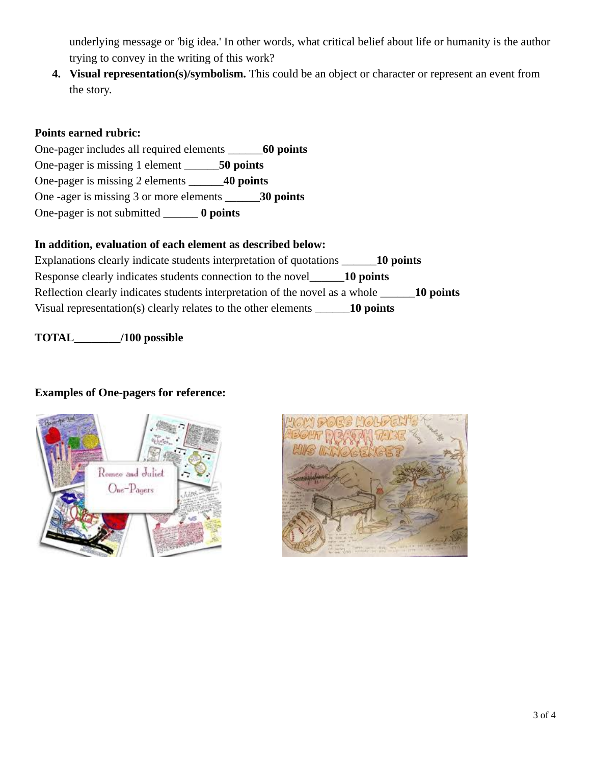underlying message or 'big idea.' In other words, what critical belief about life or humanity is the author trying to convey in the writing of this work?

**4. Visual representation(s)/symbolism.** This could be an object or character or represent an event from the story.

## **Points earned rubric:**

One-pager includes all required elements \_\_\_\_\_\_**60 points** One-pager is missing 1 element \_\_\_\_\_\_**50 points** One-pager is missing 2 elements \_\_\_\_\_\_**40 points** One -ager is missing 3 or more elements \_\_\_\_\_\_**30 points** One-pager is not submitted \_\_\_\_\_\_ **0 points**

## **In addition, evaluation of each element as described below:**

Explanations clearly indicate students interpretation of quotations \_\_\_\_\_\_**10 points** Response clearly indicates students connection to the novel\_\_\_\_\_\_**10 points** Reflection clearly indicates students interpretation of the novel as a whole **10 points** Visual representation(s) clearly relates to the other elements \_\_\_\_\_\_**10 points**

## **TOTAL\_\_\_\_\_\_\_\_/100 possible**

## **Examples of One-pagers for reference:**